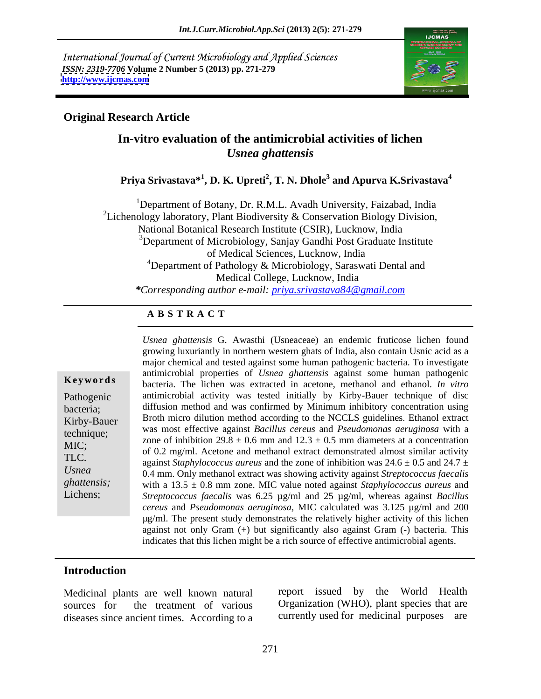International Journal of Current Microbiology and Applied Sciences *ISSN: 2319-7706* **Volume 2 Number 5 (2013) pp. 271-279 <http://www.ijcmas.com>**



### **Original Research Article**

# **In-vitro evaluation of the antimicrobial activities of lichen**  *Usnea ghattensis*

**Priya Srivastava\*<sup>1</sup> , D. K. Upreti<sup>2</sup> , T. N. Dhole<sup>3</sup> and Apurva K.Srivastava<sup>4</sup>**

<sup>1</sup>Department of Botany, Dr. R.M.L. Avadh University, Faizabad, India <sup>2</sup>Lichenology laboratory, Plant Biodiversity & Conservation Biology Division, National Botanical Research Institute (CSIR), Lucknow, India  $3$ Department of Microbiology, Sanjay Gandhi Post Graduate Institute of Medical Sciences, Lucknow, India <sup>4</sup>Department of Pathology  $\&$  Microbiology, Saraswati Dental and Medical College, Lucknow, India *\*Corresponding author e-mail: priya.srivastava84@gmail.com*

## **A B S T R A C T**

| Keywords |  |  |  |  |  |  |
|----------|--|--|--|--|--|--|
|----------|--|--|--|--|--|--|

**Ke ywo rds** bacteria. The lichen was extracted in acetone, methanol and ethanol. *In vitro* Pathogenic antimicrobial activity was tested initially by Kirby-Bauer technique of disc bacteria; diffusion method and was confirmed by Minimum inhibitory concentration using Kirby-Bauer Broth micro dilution method according to the NCCLS guidelines. Ethanol extract technique; was most effective against *Bacillus cereus* and *Pseudomonas aeruginosa* with a MIC;<br>
of 0.2 mg/ml. Acetone and methanol extract demonstrated almost similar activity TLC.  $\alpha$  against *Staphylococcus aureus* and the zone of inhibition was  $24.6 \pm 0.5$  and  $24.7 \pm 1.7$ *Usnea*  0.4 mm. Only methanol extract was showing activity against *Streptococcus faecalis* ghattensis; with a 13.5  $\pm$  0.8 mm zone. MIC value noted against *Staphylococcus aureus* and Lichens; *Streptococcus faecalis* was 6.25 µg/ml and 25 µg/ml, whereas against *Bacillus Usnea ghattensis* G. Awasthi (Usneaceae) an endemic fruticose lichen found growing luxuriantly in northern western ghats of India, also contain Usnic acid as a major chemical and tested against some human pathogenic bacteria. To investigate antimicrobial properties of *Usnea ghattensis* against some human pathogenic zone of inhibition 29.8  $\pm$  0.6 mm and 12.3  $\pm$  0.5 mm diameters at a concentration *cereus* and *Pseudomonas aeruginosa,* MIC calculated was 3.125 µg/ml and 200 µg/ml. The present study demonstrates the relatively higher activity of this lichen against not only Gram (+) but significantly also against Gram (-) bacteria. This indicates that this lichen might be a rich source of effective antimicrobial agents.

### **Introduction**

Medicinal plants are well known natural sources for the treatment of various Organization (WHO), plant species that are diseases since ancient times. According to a

report issued by the World Health currently used for medicinal purposes are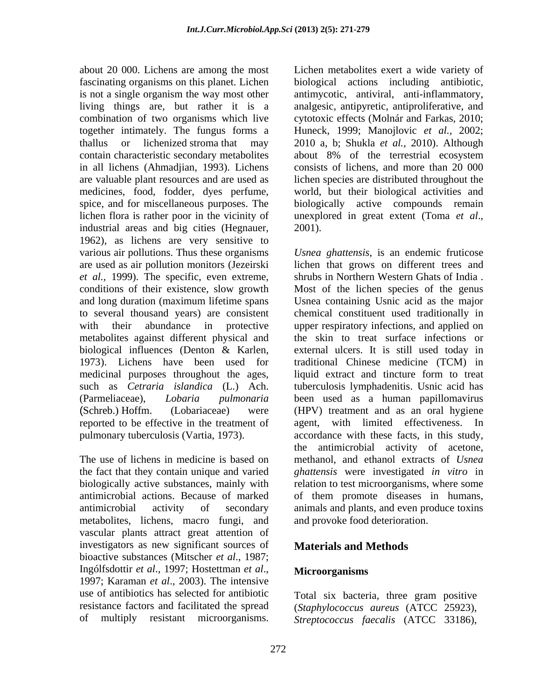about 20 000. Lichens are among the most fascinating organisms on this planet. Lichen biological actions including antibiotic, is not a single organism the way most other antimycotic, antiviral, anti-inflammatory, living things are, but rather it is a analgesic, antipyretic, antiproliferative, and combination of two organisms which live cytotoxic effects (Molnár and Farkas, 2010; together intimately. The fungus forms a thallus or lichenized stroma that may 2010 a, b; Shukla *et al.,* 2010).Although contain characteristic secondary metabolites about 8% of the terrestrial ecosystem in all lichens (Ahmadjian, 1993). Lichens are valuable plant resources and are used as medicines, food, fodder, dyes perfume, world, but their biological activities and spice, and for miscellaneous purposes. The biologically active compounds remain lichen flora is rather poor in the vicinity of unexplored in great extent (Toma et al., industrial areas and big cities (Hegnauer, 1962), as lichens are very sensitive to *et al.,* 1999). The specific, even extreme, conditions of their existence, slow growth metabolites against different physical and about 20 0000. Lichen are an anong the most animal content a wide variety of the metabolites exert a wide variety of multiply resistant microorganisms on the paper of metabolites exert a method of the content and the conte

the fact that they contain unique and varied biologically active substances, mainly with antimicrobial actions. Because of marked metabolites, lichens, macro fungi, and vascular plants attract great attention of investigators as new significant sources of bioactive substances (Mitscher *et al*., 1987; Ingólfsdottir *et al*., 1997; Hostettman *et al*., 1997; Karaman *et al*., 2003). The intensive use of antibiotics has selected for antibiotic Total six bacteria, three gram positive resistance factors and facilitated the spread (*Staphylococcus aureus* (ATCC 25923),

Huneck, 1999; Manojlovic *et al.,* 2002; consists of lichens, and more than 20 000 lichen species are distributed throughout the unexplored in great extent (Toma *et al*., 2001).

various air pollutions. Thus these organisms *Usnea ghattensis*, is an endemic fruticose are used as air pollution monitors (Jezeirski lichen that grows on different trees and and long duration (maximum lifetime spans Usnea containing Usnic acid as the major to several thousand years) are consistent chemical constituent used traditionally in with their abundance in protective upper respiratory infections, and applied on biological influences (Denton & Karlen, external ulcers. It is still used today in 1973). Lichens have been used for traditional Chinese medicine (TCM) in medicinal purposes throughout the ages, liquid extract and tincture form to treat such as *Cetraria islandica* (L.) Ach. tuberculosis lymphadenitis. Usnic acid has (Parmeliaceae), *Lobaria pulmonaria* been used as a human papillomavirus (Schreb.) Hoffm. (Lobariaceae) were (HPV) treatment and as an oral hygiene reported to be effective in the treatment of agent, with limited effectiveness. In pulmonary tuberculosis (Vartia, 1973). accordance with these facts, in this study, The use of lichens in medicine is based on methanol, and ethanol extracts of *Usnea* antimicrobial activity of secondary animals and plants, and even produce toxins shrubs in Northern Western Ghats of India . Most of the lichen species of the genus the skin to treat surface infections or external ulcers. It is still used today in traditional Chinese medicine (TCM) in the antimicrobial activity of acetone, *ghattensis* were investigated *in vitro* in relation to test microorganisms, where some of them promote diseases in humans, and provoke food deterioration.

# **Materials and Methods**

### **Microorganisms**

*Streptococcus faecalis* (ATCC 33186),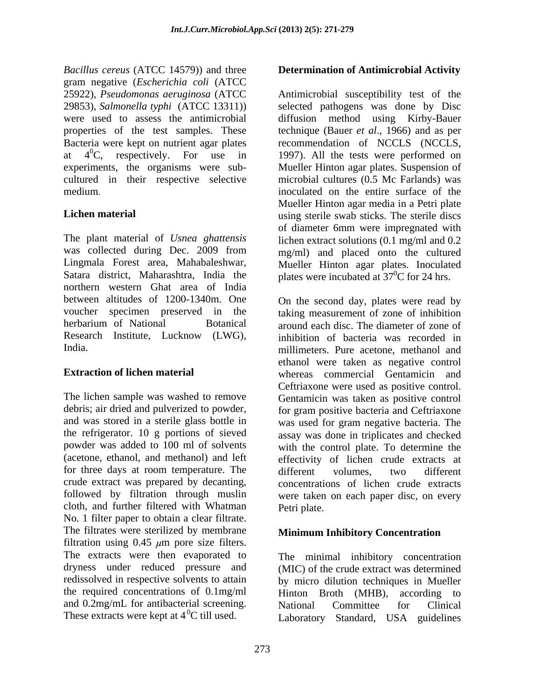*Bacillus cereus* (ATCC 14579)) and three gram negative (*Escherichia coli* (ATCC properties of the test samples. These cultured in their respective selective

The plant material of *Usnea ghattensis* lichen extract solutions (0.1 mg/ml and 0.2 was collected during Dec. 2009 from mg/ml) and placed onto the cultured Lingmala Forest area, Mahabaleshwar, Mueller Hinton agar plates. Inoculated Satara district, Maharashtra, India the plates were incubated at  $37^{\circ}$ C for 24 hrs. northern western Ghat area of India between altitudes of 1200-1340m. One On the second day, plates were read by voucher specimen preserved in the taking measurement of zone of inhibition herbarium of National Botanical around each disc. The diameter of zone of Research Institute, Lucknow (LWG), inhibition of bacteria was recorded in millimeters. Pure acetone, methanol and

for three days at room temperature. The different volumes, two different crude extract was prepared by decanting, cloth, and further filtered with Whatman No. 1 filter paper to obtain a clear filtrate. The filtrates were sterilized by membrane filtration using  $0.45 \mu m$  pore size filters.<br>The extracts were then evaporated to The extracts were then evaporated to The minimal inhibitory concentration dryness under reduced pressure and (MIC) of the crude extract was determined redissolved in respective solvents to attain by micro dilution techniques in Mueller the required concentrations of 0.1mg/ml Hinton Broth (MHB), according to Because the control of the control of the control of the street of the street of the street of the street of the street of the street of the street of the street of the street of the street of the street of the street of t

25922), *Pseudomonas aeruginosa* (ATCC Antimicrobial susceptibility test of the 29853), *Salmonella typhi* (ATCC 13311)) selected pathogens was done by Disc were used to assess the antimicrobial diffusion method using Kirby-Bauer Bacteria were kept on nutrient agar plates recommendation of NCCLS (NCCLS, at  $4^{\circ}$ C, respectively. For use in 1997). All the tests were performed on experiments, the organisms were sub- Mueller Hinton agar plates. Suspension of medium. The entire surface of the entire surface of the entire surface of the entire surface of the entire surface of the entire surface of the entire surface of the entire surface of the entire surface of the entire surfa **Lichen material Lichen material using sterile swab sticks.** The sterile discs technique (Bauer *et al*., 1966) and as per 1997). All the tests were performed on microbial cultures (0.5 Mc Farlands) was Mueller Hinton agar media in a Petri plate of diameter 6mm were impregnated with

**Extraction of lichen material** whereas commercial Gentamicin and The lichen sample was washed to remove Gentamicin was taken as positive control debris; air dried and pulverized to powder, for gram positive bacteria and Ceftriaxone and was stored in a sterile glass bottle in was used for gram negative bacteria. The the refrigerator. 10 g portions of sieved assay was done in triplicates and checked powder was added to 100 ml of solvents with the control plate. To determine the (acetone, ethanol, and methanol) and left effectivity of lichen crude extracts at followed by filtration through muslin were taken on each paper disc, on every On the second day, plates were read by inhibition of bacteria was recorded in millimeters. Pure acetone, methanol and ethanol were taken as negative control Ceftriaxone were used as positive control. different volumes, two different concentrations of lichen crude extracts Petri plate.

### **Minimum Inhibitory Concentration**

National Committee for Clinical Laboratory Standard, USA guidelines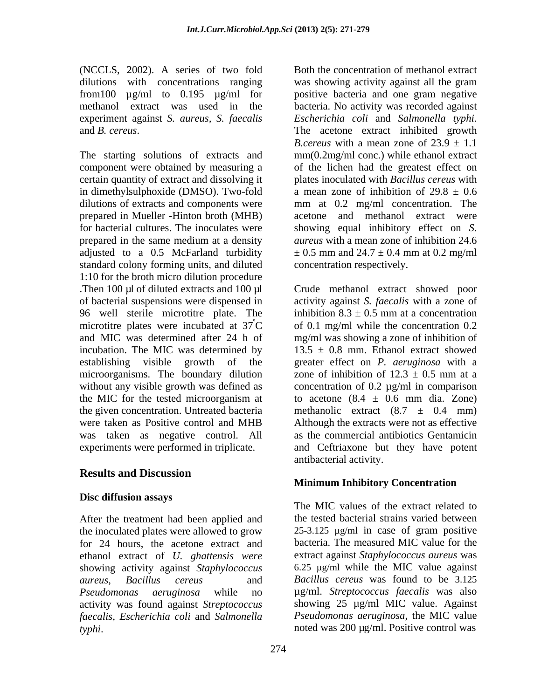(NCCLS, 2002). A series of two fold Both the concentration of methanol extract dilutions with concentrations ranging was showing activity against all the gram experiment against *S. aureus, S. faecalis*

certain quantity of extract and dissolving it in dimethylsulphoxide (DMSO). Two-fold prepared in Mueller -Hinton broth (MHB) prepared in the same medium at a density adjusted to a 0.5 McFarland turbidity  $\pm 0.5$  mm and  $24.7 \pm 0.4$  mm at 0.2 mg/ml standard colony forming units, and diluted 1:10 for the broth micro dilution procedure Then 100 µl of diluted extracts and 100 µl Crude methanol extract showed poor of bacterial suspensions were dispensed in activity against *S. faecalis* with a zone of 96 well sterile microtitre plate. The inhibition  $8.3 \pm 0.5$  mm at a concentration microtitre plates were incubated at  $37^{\circ}$ C of 0.1 mg/ml while the concentration 0.2 and MIC was determined after 24 h of mg/ml was showing a zone of inhibition of incubation. The MIC was determined by  $13.5 \pm 0.8$  mm. Ethanol extract showed establishing visible growth of the greater effect on *P. aeruginosa* with a microorganisms. The boundary dilution zone of inhibition of  $12.3 \pm 0.5$  mm at a without any visible growth was defined as concentration of 0.2  $\mu$ g/ml in comparison the MIC for the tested microorganism at to acetone  $(8.4 \pm 0.6 \text{ mm}$  dia. Zone) the given concentration. Untreated bacteria methanolic extract  $(8.7 \pm 0.4 \text{ mm})$ were taken as Positive control and MHB Although the extracts were not as effective was taken as negative control. All as the commercial antibiotics Gentamicin experiments were performed in triplicate. (NCCFs, 2002). A sectes of two field field frequencies of external domestic matrices of the concentration of methanol extract and the concentration of methanol extract were used in the bucker-bucker behand of the concentr

# **Results and Discussion**

### **Disc diffusion assays**

After the treatment had been applied and the inoculated plates were allowed to grow for 24 hours, the acetone extract and ethanol extract of *U. ghattensis were* showing activity against *Staphylococcus*  activity was found against *Streptococcus faecalis, Escherichia coli* and *Salmonella* 

from100 µg/ml to 0.195 µg/ml for positive bacteria and one gram negative methanol extract was used in the bacteria. No activity was recorded against and *B. cereus*.<br>The starting solutions of extracts and  $B$ . *cereus* with a mean zone of  $23.9 \pm 1.1$ <br>The starting solutions of extracts and  $\text{mm}(0.2\text{mg/ml conc.)}$  while ethanol extract component were obtained by measuring a of the lichen had the greatest effect on dilutions of extracts and components were mm at 0.2 mg/ml concentration. The for bacterial cultures. The inoculates were showing equal inhibitory effect on *S.* was showing activity against all the gram *Escherichia coli* and *Salmonella typhi*. The acetone extract inhibited growth *B.cereus* with a mean zone of  $23.9 \pm 1.1$ mm(0.2mg/ml conc.) while ethanol extract plates inoculated with *Bacillus cereus* with a mean zone of inhibition of  $29.8 \pm 0.6$ acetone and methanol extract were *aureus* with a mean zone of inhibition 24.6  $\pm$  0.5 mm and 24.7  $\pm$  0.4 mm at 0.2 mg/ml concentration respectively.

> inhibition  $8.3 \pm 0.5$  mm at a concentration to acetone  $(8.4 \pm 0.6 \text{ mm} \text{ dia.}$  Zone) and Ceftriaxone but they have potent antibacterial activity.

### **Minimum Inhibitory Concentration**

*aureus, Bacillus cereus* and *Bacillus cereus* was found to be 3.125 *Pseudomonas aeruginosa* while no µg/ml. *Streptococcus faecalis* was also The MIC values of the extract related to the tested bacterial strains varied between 25-3.125 µg/ml in case of gram positive bacteria. The measured MIC value for the extract against *Staphylococcus aureus* was 6.25 µg/ml while the MIC value against showing 25 µg/ml MIC value. Against *Pseudomonas aeruginosa*, the MIC value noted was 200 µg/ml. Positive control was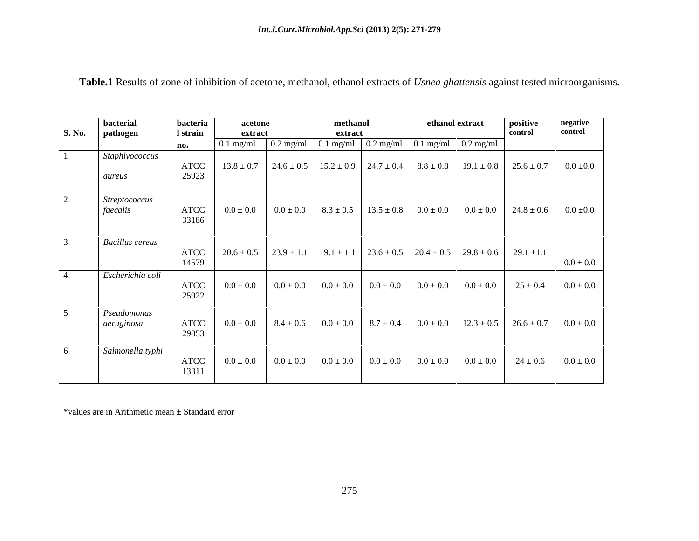|        | bacterial                        | bacteria      | acetone        |             | methanol |                                                                                                                                        |               | ethanol extract                | positive       | negative      |
|--------|----------------------------------|---------------|----------------|-------------|----------|----------------------------------------------------------------------------------------------------------------------------------------|---------------|--------------------------------|----------------|---------------|
| S. No. | pathogen                         | l strain      | extract        |             | extract  |                                                                                                                                        |               |                                | control        | control       |
|        |                                  | no.           | $0.1$ mg/ml    |             |          | $\sqrt{0.2 \text{ mg/ml}}$ $\sqrt{0.1 \text{ mg/ml}}$ $\sqrt{0.2 \text{ mg/ml}}$ $\sqrt{0.1 \text{ mg/ml}}$ $\sqrt{0.2 \text{ mg/ml}}$ |               |                                |                |               |
|        | Staphlyococcus                   | ATCC          | $13.8 \pm 0.7$ |             |          | $24.6 \pm 0.5$   $15.2 \pm 0.9$   $24.7 \pm 0.4$   $8.8 \pm 0.8$                                                                       |               | $19.1 \pm 0.8$                 | $25.6 \pm 0.7$ | $0.0 \pm 0.0$ |
|        | aureus                           | 25923         |                |             |          |                                                                                                                                        |               |                                |                |               |
|        | <b>Streptococcus</b><br>faecalis | ATCC<br>33186 | $0.0\pm0.0$    |             |          | $0.0 \pm 0.0$   $8.3 \pm 0.5$   $13.5 \pm 0.8$   $0.0 \pm 0.0$                                                                         |               | $0.0 \pm 0.0$                  | $24.8 \pm 0.6$ | $0.0 \pm 0.0$ |
|        | <b>Bacillus cereus</b>           | ATCC<br>14579 | $20.6 \pm 0.5$ |             |          |                                                                                                                                        |               |                                |                | $0.0\pm0.0$   |
|        | Escherichia coli                 | ATCC<br>25922 | $0.0 \pm 0.0$  |             |          | $0.0 \pm 0.0$ $0.0 \pm 0.0$ $0.0 \pm 0.0$ $0.0 \pm 0.0$ $0.0 \pm 0.0$                                                                  |               | $0.0 \pm 0.0$                  | $25 \pm 0.4$   | $0.0 \pm 0.0$ |
|        | Pseudomonas<br>aeruginosa        | ATCC<br>29853 | $0.0\pm0.0$    |             |          | $8.4 \pm 0.6$ $0.0 \pm 0.0$ $8.7 \pm 0.4$                                                                                              |               | $0.0 \pm 0.0$   12.3 $\pm$ 0.5 | $26.6 \pm 0.7$ | $0.0 \pm 0.0$ |
| 6.     | Salmonella typhi                 | ATCC<br>13311 | $0.0 \pm 0.0$  | $0.0\pm0.0$ |          | $0.0 \pm 0.0$ $0.0 \pm 0.0$                                                                                                            | $0.0 \pm 0.0$ | $0.0 \pm 0.0$                  | $24 \pm 0.6$   | $0.0 \pm 0.0$ |

**Table.1** Results of zone of inhibition of acetone, methanol, ethanol extracts of *Usnea ghattensis* against tested microorganisms.

\*values are in Arithmetic mean ± Standard error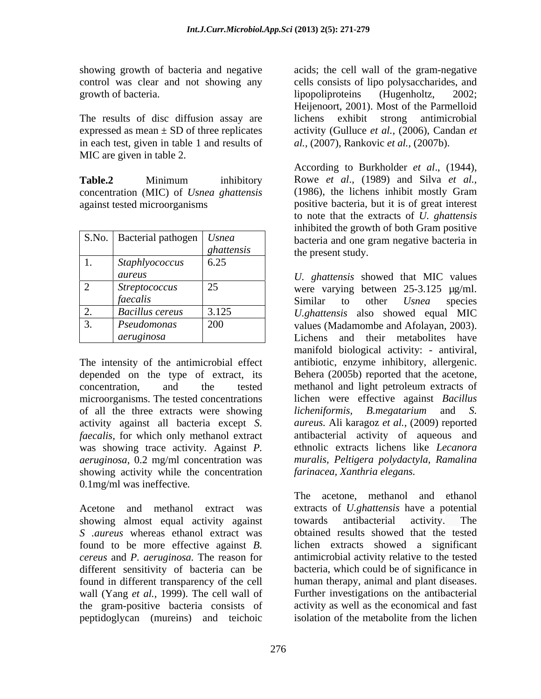growth of bacteria.  $\qquad \qquad$  lipopoliproteins (Hugenholtz, 2002;

The results of disc diffusion assay are lichens exhibit strong antimicrobial expressed as mean  $\pm$  SD of three replicates in each test, given in table 1 and results of MIC are given in table 2.

concentration (MIC) of *Usnea ghattensis*

|       |                            |            | minoned the growth of both Grain positive         |  |
|-------|----------------------------|------------|---------------------------------------------------|--|
| S.No. | Bacterial pathogen   Usnea |            | bacteria and one gram negative bacteria in        |  |
|       |                            | ghattensis | the present study.                                |  |
|       | <i>Staphlyococcus</i>      | 6.25       |                                                   |  |
|       | aureus                     |            | U. ghattensis showed that MIC values              |  |
|       | <i>Streptococcus</i>       |            | were varying between $25-3.125$ $\mu$ g/ml.       |  |
|       | faecalis                   |            | Similar<br><i>Usnea</i><br>species<br>other<br>to |  |
| ، ت   | <b>Bacillus cereus</b>     | 3.125      | U.ghattensis also showed equal MIC                |  |
|       | Pseudomonas                | 200        | values (Madamombe and Afolayan, 2003).            |  |
|       | aeruginosa                 |            | Lichens and their metabolites<br>have             |  |

depended on the type of extract, its of all the three extracts were showing *licheniformis*, *B.megatarium* and *S.* activity against all bacteria except *S. faecalis,* for which only methanol extract was showing trace activity*.* Against *P.*  showing activity while the concentration 0.1mg/ml was ineffective*.*

showing almost equal activity against towards antibacterial activity. The *S .aureus* whereas ethanol extract was found to be more effective against *B.*  different sensitivity of bacteria can be wall (Yang *et al.,* 1999). The cell wall of the gram-positive bacteria consists of activity as well as the economical and fast<br>nentidoglycan (mureins) and teichoic isolation of the metabolite from the lichen peptidoglycan (mureins) and teichoic

showing growth of bacteria and negative acids; the cell wall of the gram-negative control was clear and not showing any cells consists of lipo polysaccharides, and lipopoliproteins (Hugenholtz, 2002; Heijenoort, 2001). Most of the Parmelloid lichens exhibit strong antimicrobial activity (Gulluce *et al.,* (2006), Candan *et al.,* (2007)*,* Rankovic *et al.,* (2007b).

**Table.2** Minimum inhibitory Rowe et al., (1989) and Silva et al., against tested microorganisms positive bacteria, but it is of great interest According to Burkholder *et al*., (1944), Rowe *et al*., (1989) and Silva *et al.,* (1986), the lichens inhibit mostly Gram to note that the extracts of *U. ghattensis*  inhibited the growth of both Gram positive S.No. | Bacterial pathogen | *Usnea* bacteria and one gram negative bacteria in the present study. *ghattensis* the present study.

The intensity of the antimicrobial effect antibiotic, enzyme inhibitory, allergenic. concentration, and the tested methanol and light petroleum extracts of microorganisms. The tested concentrations lichen were effective against *Bacillus aeruginosa*, 0.2 mg/ml concentration was *muralis, Peltigera polydactyla, Ramalina U. ghattensis* showed that MIC values *aureus* 2 Streptococcus 25 were varying between 25-3.125 µg/ml. Similar to other *Usnea* species *U.ghattensis* also showed equal MIC 2. *Bacillus cereus* 3.125 values (Madamombe and Afolayan, 2003). 3. *Pseudomonas*  Lichens and their metabolites have *aeruginosa* manifold biological activity: - antiviral, Behera (2005b) reported that the acetone, *licheniformis, B.megatarium* and *S. aureus.* Ali karagoz *et al.,* (2009) reported antibacterial activity of aqueous and ethnolic extracts lichens like *Lecanora farinacea, Xanthria elegans. faecalis* and *faecalis* and *faecalis* and *faecalis* and *faecalis* and *faecalis* and *faecalis* and *false false false false false false false false false false fal* 

Acetone and methanol extract was extracts of *U.ghattensis* have a potential *cereus* and *P. aeruginosa.* The reason for antimicrobial activity relative to the tested found in different transparency of the cell human therapy, animal and plant diseases. The acetone, methanol and ethanol towards antibacterial activity. The obtained results showed that the tested lichen extracts showed a significant bacteria, which could be of significance in Further investigations on the antibacterial activity as well as the economical and fast isolation of the metabolite from the lichen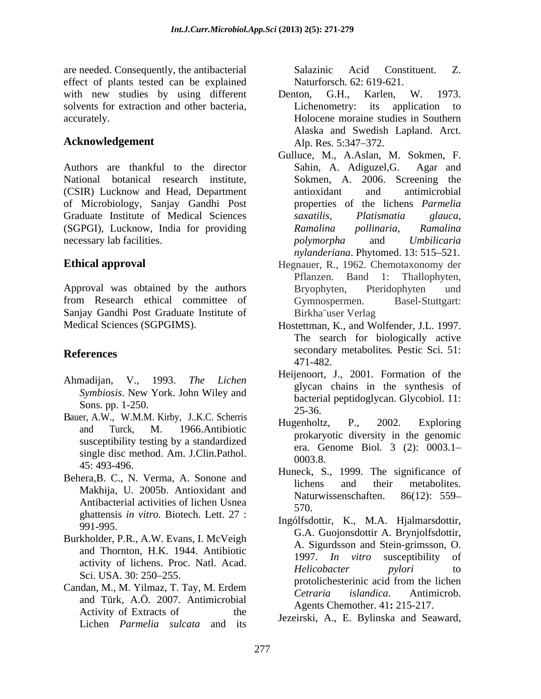are needed. Consequently, the antibacterial Salazinic Acid Constituent. Z. effect of plants tested can be explained with new studies by using different Denton, G.H., Karlen, W. 1973. solvents for extraction and other bacteria,

Authors are thankful to the director Sahin, A. Adiguzel, G. Agar and National botanical research institute, (CSIR) Lucknow and Head, Department of Microbiology, Sanjay Gandhi Post Graduate Institute of Medical Sciences *saxatilis*, *Platismatia glauca*, (SGPGI), Lucknow, India for providing Ramalina pollinaria, Ramalina necessary lab facilities. The polymorpha and Umbilicaria

Approval was obtained by the authors Bryophyten, Pteridophyten und from Research ethical committee of Gymnospermen. Basel-Stuttgart: Sanjay Gandhi Post Graduate Institute of

- *Symbiosis*. New York. John Wiley and
- Bauer, A.W., W.M.M. Kirby, J.K.C. Scherris<br>Bauer, A.W., W.M.M. Kirby, J.K.C. Scherris<br>Hugenholtz, P., 2002. Exploring susceptibility testing by a standardized single disc method. Am. J.Clin.Pathol.  $\frac{C_1a_1}{0003.8}$
- Behera, B. C., N. Verma, A. Sonone and lichens and their metabolites. Antibacterial activities of lichen Usnea 570. ghattensis *in vitro.* Biotech. Lett. 27 :
- Burkholder, P.R., A.W. Evans, I. McVeigh
- and Türk, A.Ö*.* 2007. Antimicrobial Activity of Extracts of the  $\frac{1}{2}$  the Legaine A E Pylingke and Sequend Lichen *Parmelia sulcata* and its

Salazinic Acid Constituent. Z. Naturforsch*.* 62: 619-621.

- accurately. Holocene moraine studies in Southern Acknowledgement Alp. Res. 5:347–372. Denton, G.H., Karlen, W. 1973. Lichenometry: its application to Alaska and Swedish Lapland. Arct. Alp. Res. 5:347–372.
	- Gulluce, M., A.Aslan, M. Sokmen, F. Sahin, A. Adiguzel, G. Sokmen, A. 2006. Screening the antioxidant and antimicrobial properties of the lichens *Parmelia saxatilis, Platismatia glauca, Ramalina pollinaria, Ramalina polymorpha* and *Umbilicaria nylanderiana*. Phytomed. 13: 515-521.
- **Ethical approval** Hegnauer, R., 1962. Chemotaxonomy der Pflanzen. Band 1: Thallophyten, Bryophyten, Pteridophyten und Gymnospermen. Birkha¨user Verlag
- Medical Sciences (SGPGIMS). Hostettman, K., and Wolfender, J.L. 1997. **References** secondary metabolites*.* Pestic Sci*.* 51: The search for biologically active 471-482.
- Ahmadijan, V., 1993. *The Lichen*  $\frac{\text{Symposis. New York.} \text{John Wncy and}}{\text{Sons. pp. 1-250.}}$ Heijenoort, J., 2001. Formation of the glycan chains in the synthesis of 25-36.
	- and Turck, M. 1966.Antibiotic  $\frac{1}{2}$  real proportional diversity in the conomic Hugenholtz, P., 2002. Exploring prokaryotic diversity in the genomic era. Genome Biol*.* 3 (2): 0003.1 0003.8.
	- $45: 493-496.$  Huneck, S., 1999. The significance of Makhija, U. 2005b. Antioxidant and metal metal increase in the metal increase in the metal increase in the metal increase in the metal increase in the metal increase in the metal increase in the metal increase in the metal lichens and their metabolites. Naturwissenschaften. 86(12): 559– 570.
- mgonsdottir, K., M.A. Hjannarsdottir,<br>G.A. Guojonsdottir A. Brynjolfsdottir, and Thornton, H.K. 1944. Antibiotic  $\frac{12.5 \text{ g} \cdot \text{m}}{1997}$ . *In vitro* susceptibility of activity of lichens. Proc. Natl. Acad. Helicobacter bylori to  $\frac{1}{250}$  Sci. USA. 30: 250–255. Candan, M., M. Yilmaz, T. Tay, M. Erdem protolichesterinic acid from the lichen<br>Cetraria islandica. Antimicrob. Ingólfsdottir, K., M.A. Hjalmarsdottir, A. Sigurdsson and Stein-grimsson, O. 1997. *In vitro* susceptibility of *Helicobacter pylori* to protolichesterinic acid from the lichen *Cetraria islandica*. Antimicrob. Agents Chemother. 41**:** 215-217.
	- Jezeirski, A., E. Bylinska and Seaward,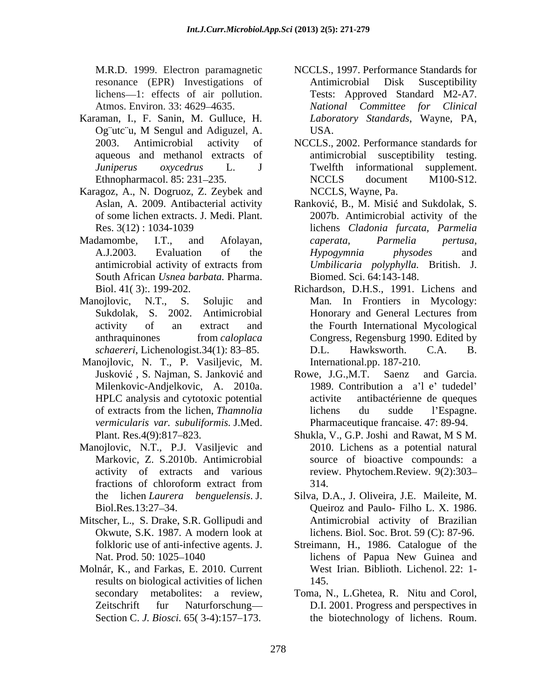- Karaman, I., F. Sanin, M. Gulluce*,* H*.* Og¨utc¨u, M Sengul and Adiguzel, A.
- Karagoz, A., N. Dogruoz, Z. Zeybek and of some lichen extracts. J. Medi. Plant.
- South African *Usnea barbata.* Pharma.
- 
- Manojlovic, N. T., P. Vasiljevic, M. HPLC analysis and cytotoxic potential *vermicularis var. subuliformis.* J.Med.
- Manojlovic, N.T., P.J. Vasiljevic and
- Mitscher, L., S. Drake, S.R. Gollipudi and Okwute, S.K. 1987. A modern look at
- Molnár, K., and Farkas, E. 2010. Current results on biological activities of lichen
- M.R.D. 1999. Electron paramagnetic NCCLS., 1997. Performance Standards for resonance (EPR) Investigations of lichens—1: effects of air pollution. Tests: Approved Standard M2-A7. Atmos. Environ. 33: 4629–4635. National Committee for Clinical Antimicrobial Disk Susceptibility *National Committee for Clinical Laboratory Standards*, Wayne, PA, USA.
- 2003. Antimicrobial activity of NCCLS., 2002. Performance standards for aqueous and methanol extracts of antimicrobial susceptibility testing. *Juniperus oxycedrus* L. J Ethnopharmacol. 85: 231–235. NCCLS document M100-S12. Twelfth informational supplement. NCCLS document M100-S12. NCCLS, Wayne, Pa.
- Aslan, A. 2009. Antibacterial activity Ranković, B., M. Misić and Sukdolak, S. Res. 3(12) : 1034-1039 lichens *Cladonia furcata, Parmelia* Madamombe, I.T., and Afolayan, *caperata, Parmelia pertusa*, A.J.2003. Evaluation of the *Hypogymnia physodes* and antimicrobial activity of extracts from *Umbilicaria polyphylla*. British. J. 2007b. Antimicrobial activity of the *caperata, Parmelia pertusa, Hypogymnia physodes* and *Umbilicaria polyphylla.* British. J. Biomed. Sci. 64:143-148.
- Biol. 41( 3):. 199-202. Richardson, D.H.S., 1991. Lichens and Manojlovic, N.T., S. Solujic and Man*.* In Frontiers in Mycology: Sukdolak, S. 2002. Antimicrobial activity of an extract and the Fourth International Mycological anthraquinones from *caloplaca schaereri*, Lichenologist. 34(1): 83–85. D.L. Hawksworth. C.A. B. Honorary and General Lectures from Congress, Regensburg 1990. Edited by D.L. Hawksworth. C.A. B. International.pp. 187-210.
	- Jusković, S. Najman, S. Janković and Rowe, J.G.,M.T. Saenz and Garcia. Milenkovic-Andjelkovic, A. 2010a. of extracts from the lichen, *Thamnolia*  Rowe, J.G.,M.T. Saenz and Garcia.<br>1989. Contribution a a'l e' tudedel' antibactérienne de queques lichens du sudde l'Espagne. Pharmaceutique francaise. 47: 89-94.
	- Plant. Res.4(9):817 823. Shukla, V., G.P. Joshi and Rawat, M S M. Markovic, Z. S.2010b. Antimicrobial source of bioactive compounds: a activity of extracts and various review. Phytochem.Review. 9(2):303– fractions of chloroform extract from 314. 2010. Lichens as a potential natural 314.
	- the lichen *Laurera benguelensis*. J. Silva, D.A., J. Oliveira, J.E. Maileite, M. Biol.Res.13:27–34. **Queiroz** and Paulo- Filho L. X. 1986. Antimicrobial activity of Brazilian lichens. Biol. Soc. Brot. 59 (C): 87-96.
	- folkloric use of anti-infective agents. J. Streimann, H., 1986. Catalogue of the Nat. Prod. 50: 1025–1040 lichens of Papua New Guinea and West Irian. Biblioth. Lichenol. 22: 1- 145.
	- secondary metabolites: a review, Toma, N., L.Ghetea, R. Nitu and Corol, Zeitschrift fur Naturforschung D.I. 2001. Progress and perspectives in Section C. *J. Biosci.* 65(3-4):157–173. the biotechnology of lichens. Roum.